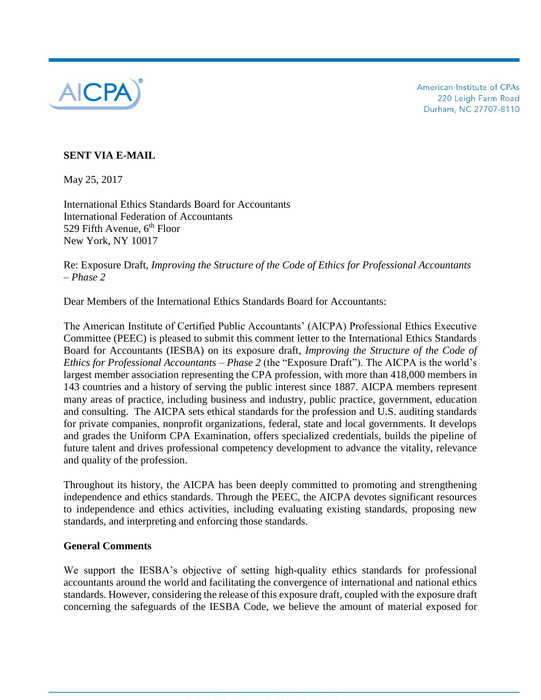

American Institute of CPAs 220 Leigh Farm Road Durham, NC 27707-8110

# **SENT VIA E-MAIL**

May 25, 2017

International Ethics Standards Board for Accountants International Federation of Accountants 529 Fifth Avenue,  $6<sup>th</sup>$  Floor New York, NY 10017

Re: Exposure Draft, *Improving the Structure of the Code of Ethics for Professional Accountants – Phase 2*

Dear Members of the International Ethics Standards Board for Accountants:

The American Institute of Certified Public Accountants' (AICPA) Professional Ethics Executive Committee (PEEC) is pleased to submit this comment letter to the International Ethics Standards Board for Accountants (IESBA) on its exposure draft, *Improving the Structure of the Code of Ethics for Professional Accountants – Phase 2* (the "Exposure Draft"). The AICPA is the world's largest member association representing the CPA profession, with more than 418,000 members in 143 countries and a history of serving the public interest since 1887. AICPA members represent many areas of practice, including business and industry, public practice, government, education and consulting. The AICPA sets ethical standards for the profession and U.S. auditing standards for private companies, nonprofit organizations, federal, state and local governments. It develops and grades the Uniform CPA Examination, offers specialized credentials, builds the pipeline of future talent and drives professional competency development to advance the vitality, relevance and quality of the profession.

Throughout its history, the AICPA has been deeply committed to promoting and strengthening independence and ethics standards. Through the PEEC, the AICPA devotes significant resources to independence and ethics activities, including evaluating existing standards, proposing new standards, and interpreting and enforcing those standards.

## **General Comments**

We support the IESBA's objective of setting high-quality ethics standards for professional accountants around the world and facilitating the convergence of international and national ethics standards. However, considering the release of this exposure draft, coupled with the exposure draft concerning the safeguards of the IESBA Code, we believe the amount of material exposed for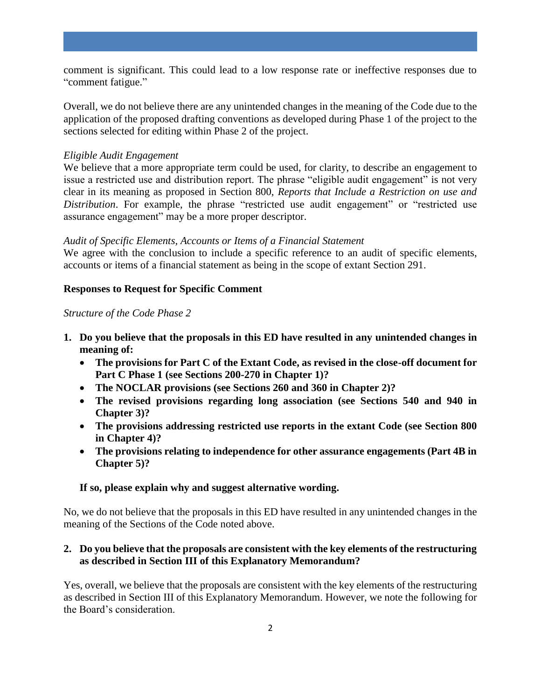comment is significant. This could lead to a low response rate or ineffective responses due to "comment fatigue."

Overall, we do not believe there are any unintended changes in the meaning of the Code due to the application of the proposed drafting conventions as developed during Phase 1 of the project to the sections selected for editing within Phase 2 of the project.

#### *Eligible Audit Engagement*

We believe that a more appropriate term could be used, for clarity, to describe an engagement to issue a restricted use and distribution report. The phrase "eligible audit engagement" is not very clear in its meaning as proposed in Section 800, *Reports that Include a Restriction on use and Distribution*. For example, the phrase "restricted use audit engagement" or "restricted use assurance engagement" may be a more proper descriptor.

#### *Audit of Specific Elements, Accounts or Items of a Financial Statement*

We agree with the conclusion to include a specific reference to an audit of specific elements, accounts or items of a financial statement as being in the scope of extant Section 291.

#### **Responses to Request for Specific Comment**

#### *Structure of the Code Phase 2*

- **1. Do you believe that the proposals in this ED have resulted in any unintended changes in meaning of:**
	- **The provisions for Part C of the Extant Code, as revised in the close-off document for Part C Phase 1 (see Sections 200-270 in Chapter 1)?**
	- **The NOCLAR provisions (see Sections 260 and 360 in Chapter 2)?**
	- **The revised provisions regarding long association (see Sections 540 and 940 in Chapter 3)?**
	- **The provisions addressing restricted use reports in the extant Code (see Section 800 in Chapter 4)?**
	- **The provisions relating to independence for other assurance engagements (Part 4B in Chapter 5)?**

## **If so, please explain why and suggest alternative wording.**

No, we do not believe that the proposals in this ED have resulted in any unintended changes in the meaning of the Sections of the Code noted above.

## **2. Do you believe that the proposals are consistent with the key elements of the restructuring as described in Section III of this Explanatory Memorandum?**

Yes, overall, we believe that the proposals are consistent with the key elements of the restructuring as described in Section III of this Explanatory Memorandum. However, we note the following for the Board's consideration.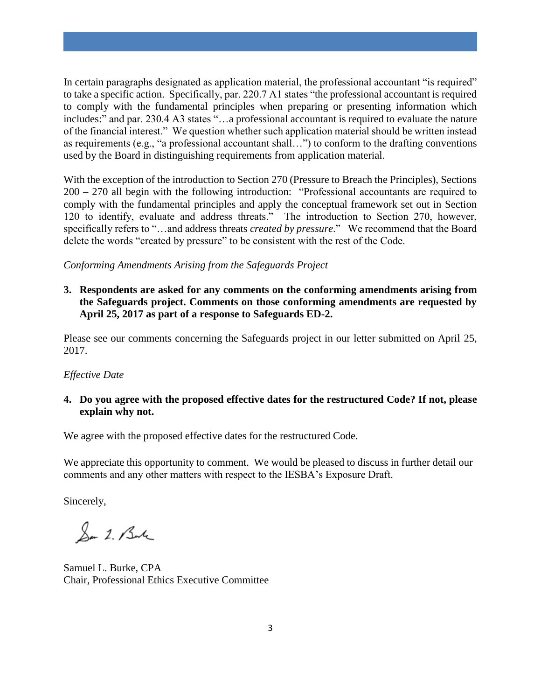In certain paragraphs designated as application material, the professional accountant "is required" to take a specific action. Specifically, par. 220.7 A1 states "the professional accountant is required to comply with the fundamental principles when preparing or presenting information which includes:" and par. 230.4 A3 states "…a professional accountant is required to evaluate the nature of the financial interest." We question whether such application material should be written instead as requirements (e.g., "a professional accountant shall…") to conform to the drafting conventions used by the Board in distinguishing requirements from application material.

With the exception of the introduction to Section 270 (Pressure to Breach the Principles), Sections 200 – 270 all begin with the following introduction: "Professional accountants are required to comply with the fundamental principles and apply the conceptual framework set out in Section 120 to identify, evaluate and address threats." The introduction to Section 270, however, specifically refers to "…and address threats *created by pressure*." We recommend that the Board delete the words "created by pressure" to be consistent with the rest of the Code.

*Conforming Amendments Arising from the Safeguards Project*

**3. Respondents are asked for any comments on the conforming amendments arising from the Safeguards project. Comments on those conforming amendments are requested by April 25, 2017 as part of a response to Safeguards ED-2.**

Please see our comments concerning the Safeguards project in our letter submitted on April 25, 2017.

## *Effective Date*

## **4. Do you agree with the proposed effective dates for the restructured Code? If not, please explain why not.**

We agree with the proposed effective dates for the restructured Code.

We appreciate this opportunity to comment. We would be pleased to discuss in further detail our comments and any other matters with respect to the IESBA's Exposure Draft.

Sincerely,

San 2. Bute

Samuel L. Burke, CPA Chair, Professional Ethics Executive Committee